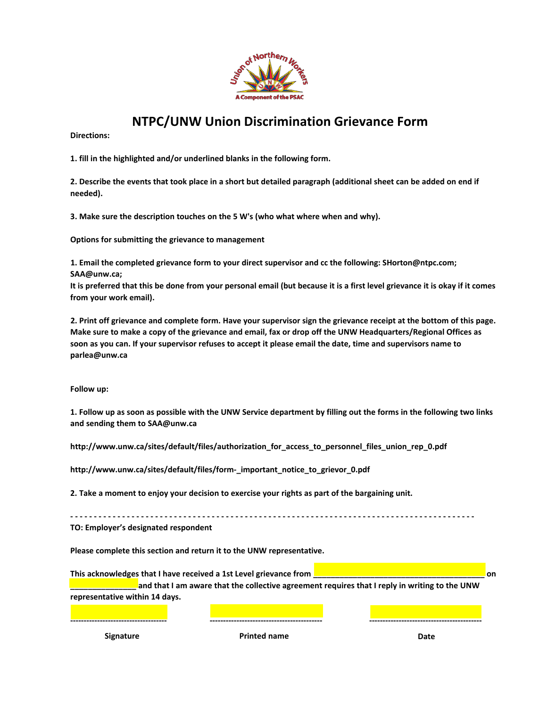

## **NTPC/UNW Union Discrimination Grievance Form**

**Directions:** 

**1. fill in the highlighted and/or underlined blanks in the following form.**

**2. Describe the events that took place in a short but detailed paragraph (additional sheet can be added on end if needed).**

**3. Make sure the description touches on the 5 W's (who what where when and why).**

**Options for submitting the grievance to management**

**1. Email the completed grievance form to your direct supervisor and cc the following: SHorton@ntpc.com; SAA@unw.ca;**

**It is preferred that this be done from your personal email (but because it is a first level grievance it is okay if it comes from your work email).**

**2. Print off grievance and complete form. Have your supervisor sign the grievance receipt at the bottom of this page. Make sure to make a copy of the grievance and email, fax or drop off the UNW Headquarters/Regional Offices as soon as you can. If your supervisor refuses to accept it please email the date, time and supervisors name to parlea@unw.ca**

**Follow up:**

**1. Follow up as soon as possible with the UNW Service department by filling out the forms in the following two links and sending them to SAA@unw.ca**

**http://www.unw.ca/sites/default/files/authorization\_for\_access\_to\_personnel\_files\_union\_rep\_0.pdf** 

**http://www.unw.ca/sites/default/files/form-\_important\_notice\_to\_grievor\_0.pdf**

**2. Take a moment to enjoy your decision to exercise your rights as part of the bargaining unit.**

**- - - - - - - - - - - - - - - - - - - - - - - - - - - - - - - - - - - - - - - - - - - - - - - - - - - - - - - - - - - - - - - - - - - - - - - - - - - - - - - - - - - - - - TO: Employer's designated respondent**

**Please complete this section and return it to the UNW representative.**

**This acknowledges that I have received a 1st Level grievance from \_\_\_\_\_\_\_\_\_\_\_\_\_\_\_\_\_\_\_\_\_\_\_\_\_\_\_\_\_\_\_\_\_\_\_\_\_\_\_ on \_\_\_\_\_\_\_\_\_\_\_\_\_\_\_ and that I am aware that the collective agreement requires that I reply in writing to the UNW representative within 14 days.**

**------------------------------------ ------------------------------------------ ------------------------------------------**

**Signature Printed name Date**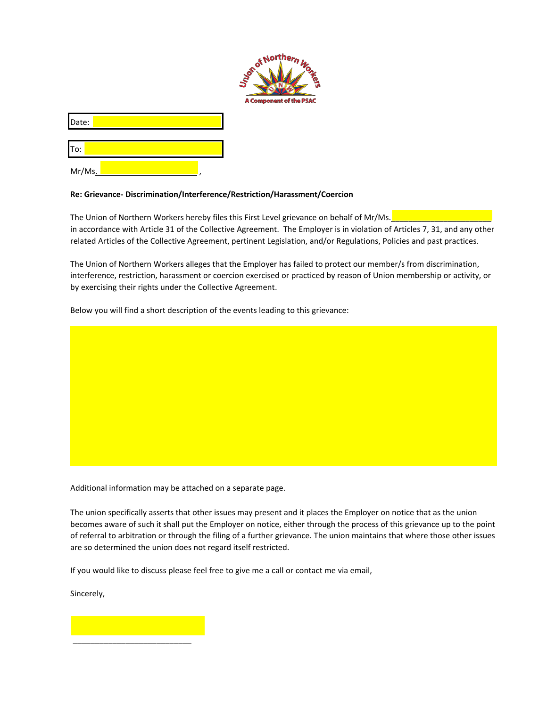

Date:

To:

Mr/Ms.,

## **Re: Grievance- Discrimination/Interference/Restriction/Harassment/Coercion**

The Union of Northern Workers hereby files this First Level grievance on behalf of Mr/Ms. in accordance with Article 31 of the Collective Agreement. The Employer is in violation of Articles 7, 31, and any other related Articles of the Collective Agreement, pertinent Legislation, and/or Regulations, Policies and past practices.

The Union of Northern Workers alleges that the Employer has failed to protect our member/s from discrimination, interference, restriction, harassment or coercion exercised or practiced by reason of Union membership or activity, or by exercising their rights under the Collective Agreement.

Below you will find a short description of the events leading to this grievance:

Additional information may be attached on a separate page.

The union specifically asserts that other issues may present and it places the Employer on notice that as the union becomes aware of such it shall put the Employer on notice, either through the process of this grievance up to the point of referral to arbitration or through the filing of a further grievance. The union maintains that where those other issues are so determined the union does not regard itself restricted.

If you would like to discuss please feel free to give me a call or contact me via email,

Sincerely,

\_\_\_\_\_\_\_\_\_\_\_\_\_\_\_\_\_\_\_\_\_\_\_\_\_\_\_